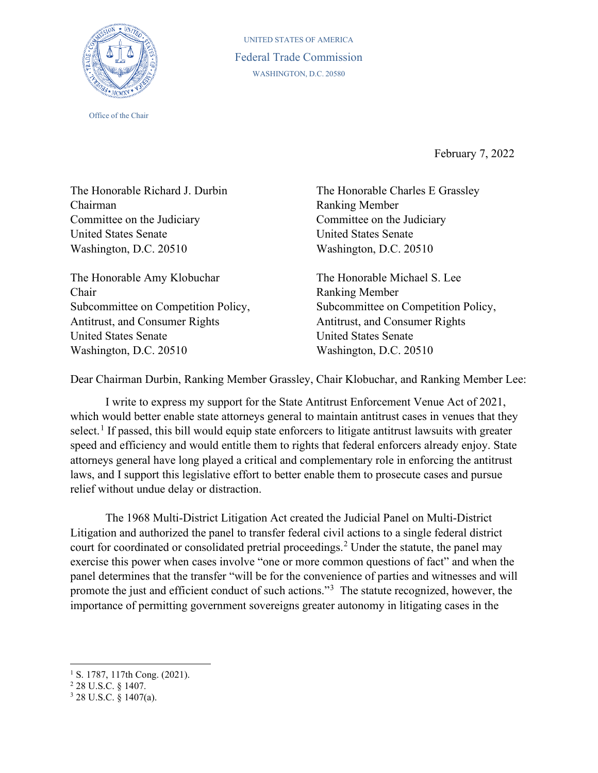

Office of the Chair

UNITED STATES OF AMERICA Federal Trade Commission WASHINGTON, D.C. 20580

February 7, 2022

The Honorable Richard J. Durbin Chairman Committee on the Judiciary United States Senate Washington, D.C. 20510

The Honorable Amy Klobuchar Chair Subcommittee on Competition Policy, Antitrust, and Consumer Rights United States Senate Washington, D.C. 20510

The Honorable Charles E Grassley Ranking Member Committee on the Judiciary United States Senate Washington, D.C. 20510

The Honorable Michael S. Lee Ranking Member Subcommittee on Competition Policy, Antitrust, and Consumer Rights United States Senate Washington, D.C. 20510

Dear Chairman Durbin, Ranking Member Grassley, Chair Klobuchar, and Ranking Member Lee:

I write to express my support for the State Antitrust Enforcement Venue Act of 2021, which would better enable state attorneys general to maintain antitrust cases in venues that they select.<sup>[1](#page-0-0)</sup> If passed, this bill would equip state enforcers to litigate antitrust lawsuits with greater speed and efficiency and would entitle them to rights that federal enforcers already enjoy. State attorneys general have long played a critical and complementary role in enforcing the antitrust laws, and I support this legislative effort to better enable them to prosecute cases and pursue relief without undue delay or distraction.

The 1968 Multi-District Litigation Act created the Judicial Panel on Multi-District Litigation and authorized the panel to transfer federal civil actions to a single federal district court for coordinated or consolidated pretrial proceedings.<sup>[2](#page-0-1)</sup> Under the statute, the panel may exercise this power when cases involve "one or more common questions of fact" and when the panel determines that the transfer "will be for the convenience of parties and witnesses and will promote the just and efficient conduct of such actions."<sup>[3](#page-0-2)</sup> The statute recognized, however, the importance of permitting government sovereigns greater autonomy in litigating cases in the

<span id="page-0-0"></span><sup>&</sup>lt;sup>1</sup> S. 1787, 117th Cong. (2021).

<span id="page-0-1"></span><sup>2</sup> 28 U.S.C. § 1407.

<span id="page-0-2"></span> $3$  28 U.S.C.  $\frac{8}{9}$  1407(a).